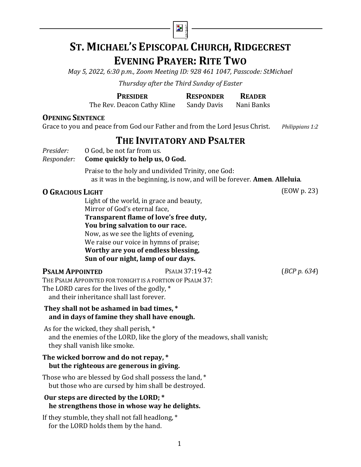# **ST. MICHAEL'S EPISCOPAL CHURCH, RIDGECREST EVENING PRAYER: RITE TWO**

 $\overline{\phantom{a}}$ 

*May 5, 2022, 6:30 p.m., Zoom Meeting ID: 928 461 1047, Passcode: StMichael Thursday after the Third Sunday of Easter*

| <b>PRESIDER</b>             | <b>RESPONDER</b>   | <b>READER</b> |
|-----------------------------|--------------------|---------------|
| The Rev. Deacon Cathy Kline | <b>Sandy Davis</b> | Nani Banks    |

#### **OPENING SENTENCE**

Grace to you and peace from God our Father and from the Lord Jesus Christ. *Philippians 1:2*

# **THE INVITATORY AND PSALTER**

*Presider:* 0 God, be not far from us.

#### *Responder:* **Come quickly to help us, O God.**

Praise to the holy and undivided Trinity, one God: as it was in the beginning, is now, and will be forever. **Amen**. **Alleluia**.

## **O GRACIOUS LIGHT** (EOW p. 23)

Light of the world, in grace and beauty, Mirror of God's eternal face, **Transparent flame of love's free duty, You bring salvation to our race.** Now, as we see the lights of evening, We raise our voice in hymns of praise; **Worthy are you of endless blessing, Sun of our night, lamp of our days.**

| <b>PSALM APPOINTED</b>                                    | PSALM 37:19-42 | (BCP p. 634) |
|-----------------------------------------------------------|----------------|--------------|
| THE PSALM APPOINTED FOR TONIGHT IS A PORTION OF PSALM 37: |                |              |
| The LORD cares for the lives of the godly, *              |                |              |

and their inheritance shall last forever.

#### **They shall not be ashamed in bad times, \* and in days of famine they shall have enough.**

As for the wicked, they shall perish, \* and the enemies of the LORD, like the glory of the meadows, shall vanish; they shall vanish like smoke.

#### **The wicked borrow and do not repay, \* but the righteous are generous in giving.**

Those who are blessed by God shall possess the land, \* but those who are cursed by him shall be destroyed.

#### **Our steps are directed by the LORD; \* he strengthens those in whose way he delights.**

If they stumble, they shall not fall headlong, \* for the LORD holds them by the hand.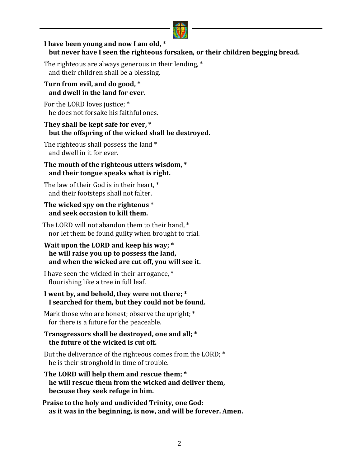

#### **I have been young and now I am old, \***

 **but never have I seen the righteous forsaken, or their children begging bread.**

The righteous are always generous in their lending, \* and their children shall be a blessing.

#### **Turn from evil, and do good, \* and dwell in the land for ever.**

For the LORD loves justice; \* he does not forsake his faithful ones.

#### **They shall be kept safe for ever, \* but the offspring of the wicked shall be destroyed.**

The righteous shall possess the land \* and dwell in it for ever.

#### **The mouth of the righteous utters wisdom, \* and their tongue speaks what is right.**

The law of their God is in their heart, \* and their footsteps shall not falter.

#### **The wicked spy on the righteous \* and seek occasion to kill them.**

The LORD will not abandon them to their hand, \* nor let them be found guilty when brought to trial.

#### **Wait upon the LORD and keep his way; \* he will raise you up to possess the land, and when the wicked are cut off, you will see it.**

I have seen the wicked in their arrogance, \* flourishing like a tree in full leaf.

#### **I went by, and behold, they were not there; \* I searched for them, but they could not be found.**

Mark those who are honest; observe the upright; \* for there is a future for the peaceable.

#### **Transgressors shall be destroyed, one and all; \* the future of the wicked is cut off.**

But the deliverance of the righteous comes from the LORD; \* he is their stronghold in time of trouble.

#### **The LORD will help them and rescue them; \* he will rescue them from the wicked and deliver them, because they seek refuge in him.**

**Praise to the holy and undivided Trinity, one God: as it was in the beginning, is now, and will be forever. Amen.**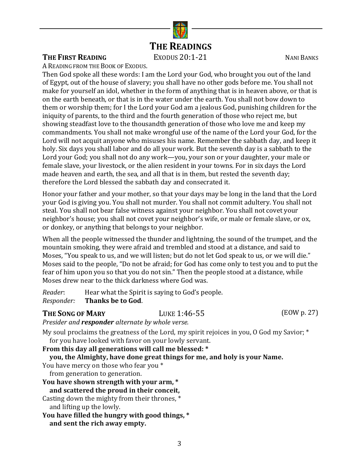# **THE READINGS**

**THE FIRST READING** EXODUS 20:1-21 NANI BANKS

A READING FROM THE BOOK OF EXODUS.

Then God spoke all these words: I am the Lord your God, who brought you out of the land of Egypt, out of the house of slavery; you shall have no other gods before me. You shall not make for yourself an idol, whether in the form of anything that is in heaven above, or that is on the earth beneath, or that is in the water under the earth. You shall not bow down to them or worship them; for I the Lord your God am a jealous God, punishing children for the iniquity of parents, to the third and the fourth generation of those who reject me, but showing steadfast love to the thousandth generation of those who love me and keep my commandments. You shall not make wrongful use of the name of the Lord your God, for the Lord will not acquit anyone who misuses his name. Remember the sabbath day, and keep it holy. Six days you shall labor and do all your work. But the seventh day is a sabbath to the Lord your God; you shall not do any work—you, your son or your daughter, your male or female slave, your livestock, or the alien resident in your towns. For in six days the Lord made heaven and earth, the sea, and all that is in them, but rested the seventh day; therefore the Lord blessed the sabbath day and consecrated it.

Honor your father and your mother, so that your days may be long in the land that the Lord your God is giving you. You shall not murder. You shall not commit adultery. You shall not steal. You shall not bear false witness against your neighbor. You shall not covet your neighbor's house; you shall not covet your neighbor's wife, or male or female slave, or ox, or donkey, or anything that belongs to your neighbor.

When all the people witnessed the thunder and lightning, the sound of the trumpet, and the mountain smoking, they were afraid and trembled and stood at a distance, and said to Moses, "You speak to us, and we will listen; but do not let God speak to us, or we will die." Moses said to the people, "Do not be afraid; for God has come only to test you and to put the fear of him upon you so that you do not sin." Then the people stood at a distance, while Moses drew near to the thick darkness where God was.

*Reader*: Hear what the Spirit is saying to God's people.

*Responder:* **Thanks be to God**.

#### **THE SONG OF MARY** LUKE 1:46-55 (EOW p. 27)

*Presider and responder alternate by whole verse.*

My soul proclaims the greatness of the Lord, my spirit rejoices in you, O God my Savior; \* for you have looked with favor on your lowly servant.

**From this day all generations will call me blessed: \***

**you, the Almighty, have done great things for me, and holy is your Name.**

You have mercy on those who fear you \*

from generation to generation.

**You have shown strength with your arm, \***

**and scattered the proud in their conceit,**

Casting down the mighty from their thrones, \* and lifting up the lowly.

**You have filled the hungry with good things, \* and sent the rich away empty.**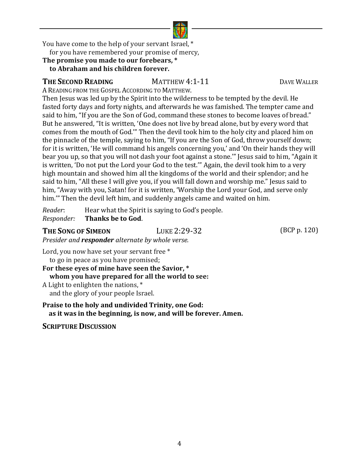

You have come to the help of your servant Israel, \*

for you have remembered your promise of mercy,

#### **The promise you made to our forebears, \***

**to Abraham and his children forever.**

#### **THE SECOND READING** MATTHEW 4:1-11 DAVE WALLER

A READING FROM THE GOSPEL ACCORDING TO MATTHEW.

Then Jesus was led up by the Spirit into the wilderness to be tempted by the devil. He fasted forty days and forty nights, and afterwards he was famished. The tempter came and said to him, "If you are the Son of God, command these stones to become loaves of bread." But he answered, "It is written, 'One does not live by bread alone, but by every word that comes from the mouth of God.'" Then the devil took him to the holy city and placed him on the pinnacle of the temple, saying to him, "If you are the Son of God, throw yourself down; for it is written, 'He will command his angels concerning you,' and 'On their hands they will bear you up, so that you will not dash your foot against a stone.'" Jesus said to him, "Again it is written, 'Do not put the Lord your God to the test.'" Again, the devil took him to a very high mountain and showed him all the kingdoms of the world and their splendor; and he said to him, "All these I will give you, if you will fall down and worship me." Jesus said to him, "Away with you, Satan! for it is written, 'Worship the Lord your God, and serve only him.'" Then the devil left him, and suddenly angels came and waited on him.

*Reader*: Hear what the Spirit is saying to God's people. *Responder:* **Thanks be to God**.

#### **THE SONG OF SIMEON** LUKE 2:29-32 (BCP p. 120)

*Presider and responder alternate by whole verse.*

Lord, you now have set your servant free \* to go in peace as you have promised; **For these eyes of mine have seen the Savior, \* whom you have prepared for all the world to see:** A Light to enlighten the nations, \* and the glory of your people Israel.

**Praise to the holy and undivided Trinity, one God: as it was in the beginning, is now, and will be forever. Amen.**

**SCRIPTURE DISCUSSION**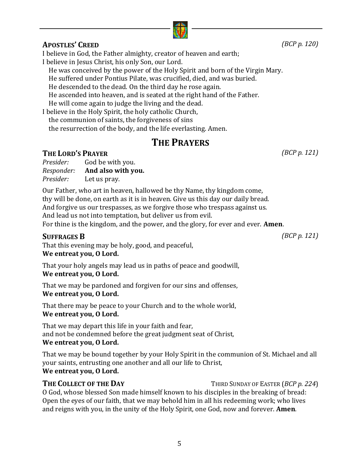## **APOSTLES' CREED** *(BCP p. 120)*

I believe in God, the Father almighty, creator of heaven and earth;

I believe in Jesus Christ, his only Son, our Lord.

He was conceived by the power of the Holy Spirit and born of the Virgin Mary.

He suffered under Pontius Pilate, was crucified, died, and was buried.

He descended to the dead. On the third day he rose again.

He ascended into heaven, and is seated at the right hand of the Father.

He will come again to judge the living and the dead.

I believe in the Holy Spirit, the holy catholic Church, the communion of saints, the forgiveness of sins

the resurrection of the body, and the life everlasting. Amen.

# **THE PRAYERS**

## **THE LORD'S PRAYER** *(BCP p. 121)*

| Presider:  | God be with you.   |
|------------|--------------------|
| Responder: | And also with you. |
| Presider:  | Let us pray.       |

Our Father, who art in heaven, hallowed be thy Name, thy kingdom come, thy will be done, on earth as it is in heaven. Give us this day our daily bread. And forgive us our trespasses, as we forgive those who trespass against us. And lead us not into temptation, but deliver us from evil. For thine is the kingdom, and the power, and the glory, for ever and ever. **Amen**.

#### **SUFFRAGES B** *(BCP p. 121)*

That this evening may be holy, good, and peaceful, **We entreat you, O Lord.**

That your holy angels may lead us in paths of peace and goodwill, **We entreat you, O Lord.**

That we may be pardoned and forgiven for our sins and offenses, **We entreat you, O Lord.** 

That there may be peace to your Church and to the whole world, **We entreat you, O Lord.** 

That we may depart this life in your faith and fear, and not be condemned before the great judgment seat of Christ, **We entreat you, O Lord.**

That we may be bound together by your Holy Spirit in the communion of St. Michael and all your saints, entrusting one another and all our life to Christ, **We entreat you, O Lord.**

**THE COLLECT OF THE DAY** THIRD SUNDAY OF EASTER (*BCP p. 224*)

O God, whose blessed Son made himself known to his disciples in the breaking of bread: Open the eyes of our faith, that we may behold him in all his redeeming work; who lives and reigns with you, in the unity of the Holy Spirit, one God, now and forever. **Amen**.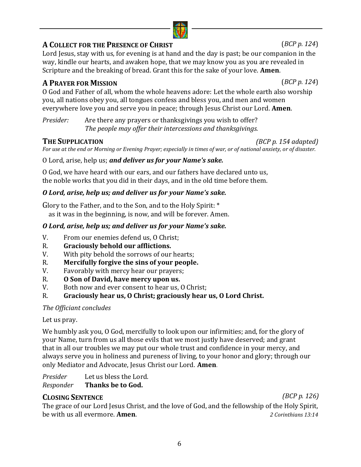# **A COLLECT FOR THE PRESENCE OF CHRIST** (*BCP p. 124*)

Lord Jesus, stay with us, for evening is at hand and the day is past; be our companion in the way, kindle our hearts, and awaken hope, that we may know you as you are revealed in Scripture and the breaking of bread. Grant this for the sake of your love. **Amen**.

# **A PRAYER FOR MISSION** (*BCP p. 124*)

O God and Father of all, whom the whole heavens adore: Let the whole earth also worship you, all nations obey you, all tongues confess and bless you, and men and women everywhere love you and serve you in peace; through Jesus Christ our Lord. **Amen**.

*Presider:* Are there any prayers or thanksgivings you wish to offer? *The people may offer their intercessions and thanksgivings.*

# **THE SUPPLICATION** *(BCP p. 154 adapted)*

*For use at the end or Morning or Evening Prayer; especially in times of war, or of national anxiety, or of disaster.*

O Lord, arise, help us; *and deliver us for your Name's sake.*

O God, we have heard with our ears, and our fathers have declared unto us, the noble works that you did in their days, and in the old time before them.

# *O Lord, arise, help us; and deliver us for your Name's sake.*

Glory to the Father, and to the Son, and to the Holy Spirit: \* as it was in the beginning, is now, and will be forever. Amen.

# *O Lord, arise, help us; and deliver us for your Name's sake.*

- V. From our enemies defend us, O Christ;
- R. **Graciously behold our afflictions.**
- V. With pity behold the sorrows of our hearts;
- R. **Mercifully forgive the sins of your people.**
- V. Favorably with mercy hear our prayers;
- R. **O Son of David, have mercy upon us.**
- V. Both now and ever consent to hear us, O Christ;
- R. **Graciously hear us, O Christ; graciously hear us, O Lord Christ.**

# *The Officiant concludes*

Let us pray.

We humbly ask you, O God, mercifully to look upon our infirmities; and, for the glory of your Name, turn from us all those evils that we most justly have deserved; and grant that in all our troubles we may put our whole trust and confidence in your mercy, and always serve you in holiness and pureness of living, to your honor and glory; through our only Mediator and Advocate, Jesus Christ our Lord. **Amen***.*

*Presider* Let us bless the Lord.

# *Responder* **Thanks be to God.**

# **CLOSING SENTENCE** *(BCP p. 126)*

The grace of our Lord Jesus Christ, and the love of God, and the fellowship of the Holy Spirit, be with us all evermore. **Amen**. *2 Corinthians 13:14*